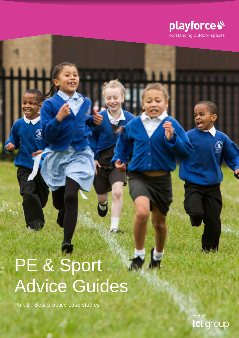

# PE & Sport Advice Guides

Part 2 - Best practice case studies

part of group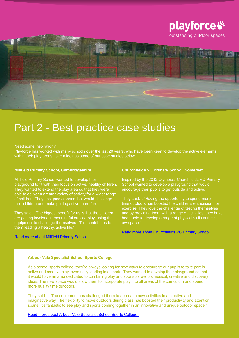

# Part 2 - Best practice case studies

#### Need some inspiration?

Playforce has worked with many schools over the last 20 years, who have been keen to develop the active elements within their play areas, take a look as some of our case studies below.

#### **Millfield Primary School, Cambridgeshire**

Millfield Primary School wanted to develop their playground to fit with their focus on active, healthy children. They wanted to extend the play area so that they were able to deliver a greater variety of activity for a wider range of children. They designed a space that would challenge their children and make getting active more fun.

They said.. "The biggest benefit for us is that the children are getting involved in meaningful outside play, using the equipment to challenge themselves. This contributes to them leading a healthy, active life."

#### [Read more about Millfield Primary School](http://www.playforce.co.uk/design-and-build/case-studies/millfield-primary-school).

#### **Churchfields VC Primary School, Somerset**

Inspired by the 2012 Olympics, Churchfields VC Primary School wanted to develop a playground that would encourage their pupils to get outside and active.

They said… "Having the opportunity to spend more time outdoors has boosted the children's enthusiasm for exercise. They love the challenge of testing themselves and by providing them with a range of activities, they have been able to develop a range of physical skills at their own pace.'

[Read more about Churchfields VC Primary School.](http://www.playforce.co.uk/design-and-build/case-studies/churchfields-vc-primary-school)

# **Arbour Vale Specialist School Sports College**

As a school sports college, they're always looking for new ways to encourage our pupils to take part in active and creative play, eventually leading into sports. They wanted to develop their playground so that it would have an area dedicated to combining play and sports as well as musical, creative and discovery ideas. The new space would allow them to incorporate play into all areas of the curriculum and spend more quality time outdoors.

They said… "The equipment has challenged them to approach new activities in a creative and imaginative way. The flexibility to move outdoors during class has boosted their productivity and attention spans. It's fantastic to see play and sports coming together in an innovative and unique outdoor space."

[Read more about Arbour Vale Specialist School Sports College.](http://www.playforce.co.uk/design-and-build/case-studies/arbour-vale-specialist-school-sports-college-slough)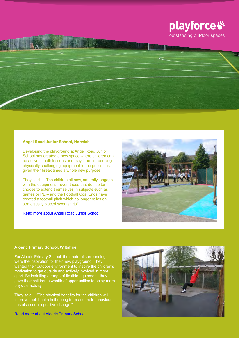

# **Angel Road Junior School, Norwich**

Developing the playground at Angel Road Junior School has created a new space where children can be active in both lessons and play time. Introducing physically challenging equipment to the pupils has given their break times a whole new purpose.

They said… "The children all now, naturally, engage with the equipment – even those that don't often choose to extend themselves in subjects such as games or PE – and the Football Goal Ends have created a football pitch which no longer relies on strategically placed sweatshirts!"

[Read more about Angel Road Junior School.](http://www.playforce.co.uk/design-and-build/case-studies/angel-road-junior-school-norfolk)



# **Aloeric Primary School, Wiltshire**

For Aloeric Primary School, their natural surroundings were the inspiration for their new playground. They wanted their outdoor environment to inspire the children's motivation to get outside and actively involved in more sport. By installing a range of flexible equipment, they gave their children a wealth of opportunities to enjoy more physical activity.

They said… "The physical benefits for the children will improve their health in the long term and their behaviour has also seen a positive change."

[Read more about Aloeric Primary School.](http://www.playforce.co.uk/design-and-build/case-studies/aloeric-primary-school-wiltshire) 

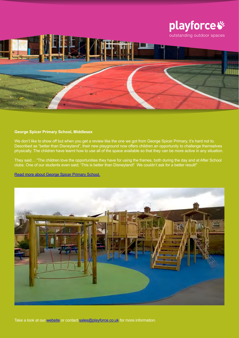

## **George Spicer Primary School, Middlesex**

We don't like to show off but when you get a review like the one we got from George Spicer Primary, it's hard not to. Described as "better than Disneyland", their new playground now offers children an opportunity to challenge themselves physically. The children have learnt how to use all of the space available so that they can be more active in any situation.

They said… "The children love the opportunities they have for using the frames, both during the day and at After School clubs. One of our students even said; 'This is better than Disneyland!' We couldn't ask for a better result!"

[Read more about George Spicer Primary School.](http://www.playforce.co.uk/design-and-build/case-studies/george-spicer-primary-school)



Take a look at our [website](http://www.playforce.co.uk) or contact [sales@playforce.co.uk](mailto:sales%40playforce.co.uk?subject=) for more information.